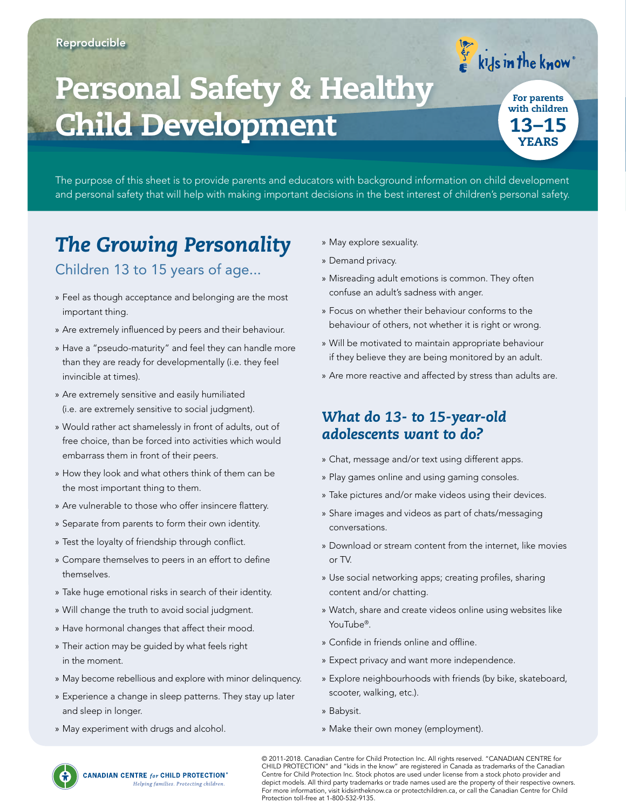# Personal Safety & Healthy Child Development

13–15 YEARS For parents with children

 $\left\{\begin{matrix} 1 & 1 \\ 1 & 1 \end{matrix}\right\}$  is in the know

The purpose of this sheet is to provide parents and educators with background information on child development and personal safety that will help with making important decisions in the best interest of children's personal safety.

## *The Growing Personality*

#### Children 13 to 15 years of age...

- » Feel as though acceptance and belonging are the most important thing.
- » Are extremely influenced by peers and their behaviour.
- » Have a "pseudo-maturity" and feel they can handle more than they are ready for developmentally (i.e. they feel invincible at times).
- » Are extremely sensitive and easily humiliated (i.e. are extremely sensitive to social judgment).
- » Would rather act shamelessly in front of adults, out of free choice, than be forced into activities which would embarrass them in front of their peers.
- » How they look and what others think of them can be the most important thing to them.
- » Are vulnerable to those who offer insincere flattery.
- » Separate from parents to form their own identity.
- » Test the loyalty of friendship through conflict.
- » Compare themselves to peers in an effort to define themselves.
- » Take huge emotional risks in search of their identity.
- » Will change the truth to avoid social judgment.
- » Have hormonal changes that affect their mood.
- » Their action may be guided by what feels right in the moment.
- » May become rebellious and explore with minor delinquency.
- » Experience a change in sleep patterns. They stay up later and sleep in longer.
- » May experiment with drugs and alcohol.
- » May explore sexuality.
- » Demand privacy.
- » Misreading adult emotions is common. They often confuse an adult's sadness with anger.
- » Focus on whether their behaviour conforms to the behaviour of others, not whether it is right or wrong.
- » Will be motivated to maintain appropriate behaviour if they believe they are being monitored by an adult.
- » Are more reactive and affected by stress than adults are.

### *What do 13- to 15-year-old adolescents want to do?*

- » Chat, message and/or text using different apps.
- » Play games online and using gaming consoles.
- » Take pictures and/or make videos using their devices.
- » Share images and videos as part of chats/messaging conversations.
- » Download or stream content from the internet, like movies or TV.
- » Use social networking apps; creating profiles, sharing content and/or chatting.
- » Watch, share and create videos online using websites like YouTube®.
- » Confide in friends online and offline.
- » Expect privacy and want more independence.
- » Explore neighbourhoods with friends (by bike, skateboard, scooter, walking, etc.).
- » Babysit.
- » Make their own money (employment).